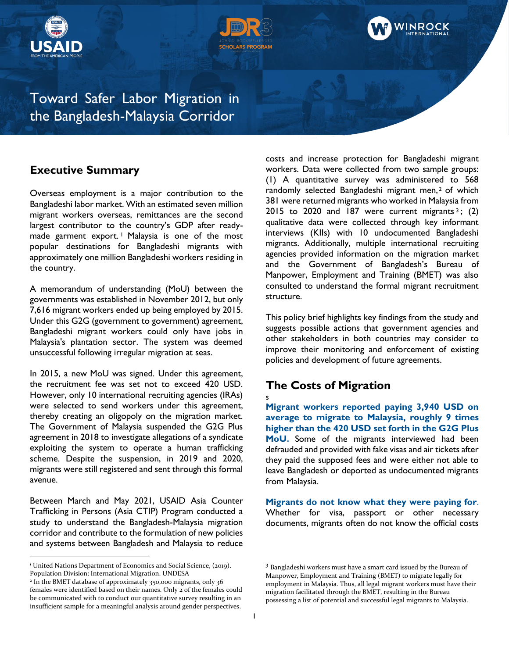





Toward Safer Labor Migration in the Bangladesh-Malaysia Corridor

## **Executive Summary**

Overseas employment is a major contribution to the Bangladeshi labor market. With an estimated seven million migrant workers overseas, remittances are the second largest contributor to the country's GDP after readymade garment export.<sup>1</sup> Malaysia is one of the most popular destinations for Bangladeshi migrants with approximately one million Bangladeshi workers residing in the country.

A memorandum of understanding (MoU) between the governments was established in November 2012, but only 7,616 migrant workers ended up being employed by 2015. Under this G2G (government to government) agreement, Bangladeshi migrant workers could only have jobs in Malaysia's plantation sector. The system was deemed unsuccessful following irregular migration at seas.

In 2015, a new MoU was signed. Under this agreement, the recruitment fee was set not to exceed 420 USD. However, only 10 international recruiting agencies (IRAs) were selected to send workers under this agreement, thereby creating an oligopoly on the migration market. The Government of Malaysia suspended the G2G Plus agreement in 2018 to investigate allegations of a syndicate exploiting the system to operate a human trafficking scheme. Despite the suspension, in 2019 and 2020, migrants were still registered and sent through this formal avenue.

Between March and May 2021, USAID Asia Counter Trafficking in Persons (Asia CTIP) Program conducted a study to understand the Bangladesh-Malaysia migration corridor and contribute to the formulation of new policies and systems between Bangladesh and Malaysia to reduce

costs and increase protection for Bangladeshi migrant workers. Data were collected from two sample groups: (1) A quantitative survey was administered to 568 randomly selected Bangladeshi migrant men,<sup>2</sup> of which 381 were returned migrants who worked in Malaysia from 2015 to 2020 and 187 were current migrants  $3$ ; (2) qualitative data were collected through key informant interviews (KIIs) with 10 undocumented Bangladeshi migrants. Additionally, multiple international recruiting agencies provided information on the migration market and the Government of Bangladesh's Bureau of Manpower, Employment and Training (BMET) was also consulted to understand the formal migrant recruitment structure.

This policy brief highlights key findings from the study and suggests possible actions that government agencies and other stakeholders in both countries may consider to improve their monitoring and enforcement of existing policies and development of future agreements.

# **The Costs of Migration**

#### s

**Migrant workers reported paying 3,940 USD on average to migrate to Malaysia, roughly 9 times higher than the 420 USD set forth in the G2G Plus MoU.** Some of the migrants interviewed had been defrauded and provided with fake visas and air tickets after they paid the supposed fees and were either not able to leave Bangladesh or deported as undocumented migrants from Malaysia.

**Migrants do not know what they were paying for**. Whether for visa, passport or other necessary documents, migrants often do not know the official costs

<sup>&</sup>lt;sup>1</sup> United Nations Department of Economics and Social Science, (2019). Population Division: International Migration. UNDESA

<sup>2</sup> In the BMET database of approximately 350,000 migrants, only 36 females were identified based on their names. Only 2 of the females could be communicated with to conduct our quantitative survey resulting in an insufficient sample for a meaningful analysis around gender perspectives.

<sup>3</sup> Bangladeshi workers must have a smart card issued by the Bureau of Manpower, Employment and Training (BMET) to migrate legally for employment in Malaysia. Thus, all legal migrant workers must have their migration facilitated through the BMET, resulting in the Bureau possessing a list of potential and successful legal migrants to Malaysia.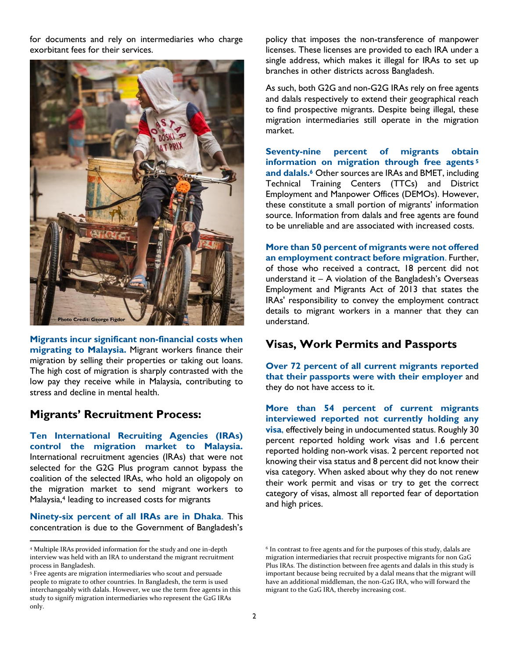for documents and rely on intermediaries who charge exorbitant fees for their services.



**Migrants incur significant non-financial costs when migrating to Malaysia.** Migrant workers finance their migration by selling their properties or taking out loans. The high cost of migration is sharply contrasted with the low pay they receive while in Malaysia, contributing to stress and decline in mental health.

### **Migrants' Recruitment Process:**

**Ten International Recruiting Agencies (IRAs) control the migration market to Malaysia.** International recruitment agencies (IRAs) that were not selected for the G2G Plus program cannot bypass the coalition of the selected IRAs, who hold an oligopoly on the migration market to send migrant workers to Malaysia,<sup>4</sup> leading to increased costs for migrants

**Ninety-six percent of all IRAs are in Dhaka**. This concentration is due to the Government of Bangladesh's

policy that imposes the non-transference of manpower licenses. These licenses are provided to each IRA under a single address, which makes it illegal for IRAs to set up branches in other districts across Bangladesh.

As such, both G2G and non-G2G IRAs rely on free agents and dalals respectively to extend their geographical reach to find prospective migrants. Despite being illegal, these migration intermediaries still operate in the migration market.

**Seventy-nine percent of migrants obtain information on migration through free agents <sup>5</sup> and dalals.<sup>6</sup>** Other sources are IRAs and BMET, including Technical Training Centers (TTCs) and District Employment and Manpower Offices (DEMOs). However, these constitute a small portion of migrants' information source. Information from dalals and free agents are found to be unreliable and are associated with increased costs.

**More than 50 percent of migrants were not offered an employment contract before migration**. Further, of those who received a contract, 18 percent did not understand it – A violation of the Bangladesh's Overseas Employment and Migrants Act of 2013 that states the IRAs' responsibility to convey the employment contract details to migrant workers in a manner that they can understand.

### **Visas, Work Permits and Passports**

**Over 72 percent of all current migrants reported that their passports were with their employer** and they do not have access to it.

**More than 54 percent of current migrants interviewed reported not currently holding any visa**, effectively being in undocumented status. Roughly 30 percent reported holding work visas and 1.6 percent reported holding non-work visas. 2 percent reported not knowing their visa status and 8 percent did not know their visa category. When asked about why they do not renew their work permit and visas or try to get the correct category of visas, almost all reported fear of deportation and high prices.

<sup>4</sup> Multiple IRAs provided information for the study and one in-depth interview was held with an IRA to understand the migrant recruitment process in Bangladesh.

<sup>5</sup> Free agents are migration intermediaries who scout and persuade people to migrate to other countries. In Bangladesh, the term is used interchangeably with dalals. However, we use the term free agents in this study to signify migration intermediaries who represent the G2G IRAs only.

<sup>&</sup>lt;sup>6</sup> In contrast to free agents and for the purposes of this study, dalals are migration intermediaries that recruit prospective migrants for non G2G Plus IRAs. The distinction between free agents and dalals in this study is important because being recruited by a dalal means that the migrant will have an additional middleman, the non-G2G IRA, who will forward the migrant to the G2G IRA, thereby increasing cost.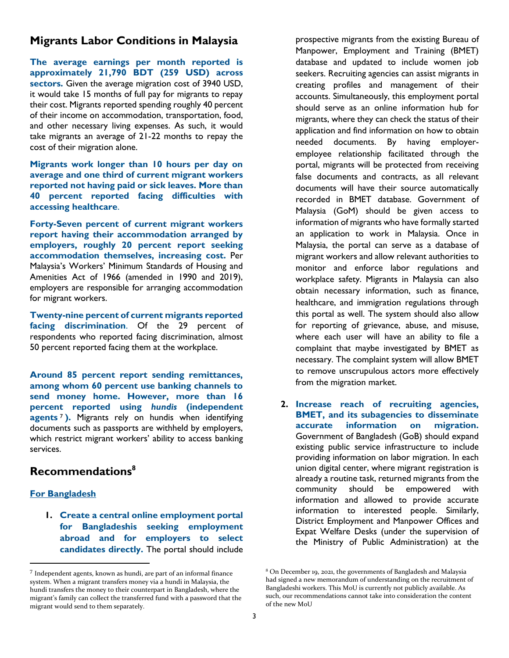#### **Migrants Labor Conditions in Malaysia**

**The average earnings per month reported is approximately 21,790 BDT (259 USD) across sectors.** Given the average migration cost of 3940 USD, it would take 15 months of full pay for migrants to repay their cost. Migrants reported spending roughly 40 percent of their income on accommodation, transportation, food, and other necessary living expenses. As such, it would take migrants an average of 21-22 months to repay the cost of their migration alone.

**Migrants work longer than 10 hours per day on average and one third of current migrant workers reported not having paid or sick leaves. More than 40 percent reported facing difficulties with accessing healthcare**.

**Forty-Seven percent of current migrant workers report having their accommodation arranged by employers, roughly 20 percent report seeking accommodation themselves, increasing cost.** Per Malaysia's Workers' Minimum Standards of Housing and Amenities Act of 1966 (amended in 1990 and 2019), employers are responsible for arranging accommodation for migrant workers.

**Twenty-nine percent of current migrants reported facing discrimination**. Of the 29 percent of respondents who reported facing discrimination, almost 50 percent reported facing them at the workplace.

**Around 85 percent report sending remittances, among whom 60 percent use banking channels to send money home. However, more than 16 percent reported using** *hundis* **(independent agents** <sup>7</sup> **).** Migrants rely on hundis when identifying documents such as passports are withheld by employers, which restrict migrant workers' ability to access banking services.

#### **Recommendations<sup>8</sup>**

#### **For Bangladesh**

**1. Create a central online employment portal for Bangladeshis seeking employment abroad and for employers to select candidates directly.** The portal should include

prospective migrants from the existing Bureau of Manpower, Employment and Training (BMET) database and updated to include women job seekers. Recruiting agencies can assist migrants in creating profiles and management of their accounts. Simultaneously, this employment portal should serve as an online information hub for migrants, where they can check the status of their application and find information on how to obtain needed documents. By having employeremployee relationship facilitated through the portal, migrants will be protected from receiving false documents and contracts, as all relevant documents will have their source automatically recorded in BMET database. Government of Malaysia (GoM) should be given access to information of migrants who have formally started an application to work in Malaysia. Once in Malaysia, the portal can serve as a database of migrant workers and allow relevant authorities to monitor and enforce labor regulations and workplace safety. Migrants in Malaysia can also obtain necessary information, such as finance, healthcare, and immigration regulations through this portal as well. The system should also allow for reporting of grievance, abuse, and misuse, where each user will have an ability to file a complaint that maybe investigated by BMET as necessary. The complaint system will allow BMET to remove unscrupulous actors more effectively from the migration market.

**2. Increase reach of recruiting agencies, BMET, and its subagencies to disseminate accurate information on migration.**  Government of Bangladesh (GoB) should expand existing public service infrastructure to include providing information on labor migration. In each union digital center, where migrant registration is already a routine task, returned migrants from the community should be empowered with information and allowed to provide accurate information to interested people. Similarly, District Employment and Manpower Offices and Expat Welfare Desks (under the supervision of the Ministry of Public Administration) at the

<sup>7</sup> Independent agents, known as hundi, are part of an informal finance system. When a migrant transfers money via a hundi in Malaysia, the hundi transfers the money to their counterpart in Bangladesh, where the migrant's family can collect the transferred fund with a password that the migrant would send to them separately.

<sup>8</sup> On December 19, 2021, the governments of Bangladesh and Malaysia had signed a new memorandum of understanding on the recruitment of Bangladeshi workers. This MoU is currently not publicly available. As such, our recommendations cannot take into consideration the content of the new MoU